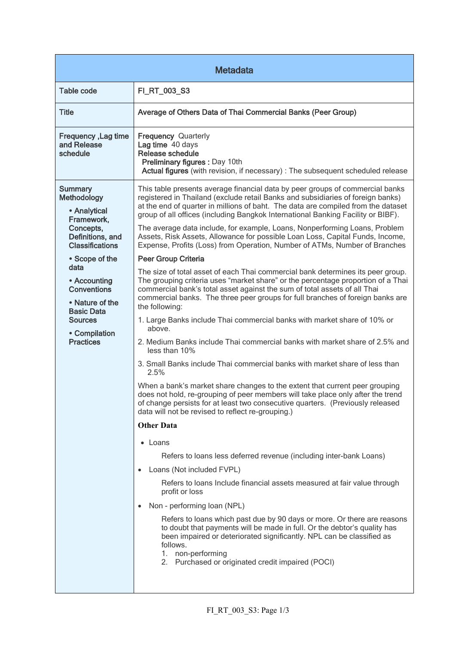| <b>Metadata</b>                                                                                                                           |                                                                                                                                                                                                                                                                                                                                                      |  |
|-------------------------------------------------------------------------------------------------------------------------------------------|------------------------------------------------------------------------------------------------------------------------------------------------------------------------------------------------------------------------------------------------------------------------------------------------------------------------------------------------------|--|
| <b>Table code</b>                                                                                                                         | FI_RT_003_S3                                                                                                                                                                                                                                                                                                                                         |  |
| <b>Title</b>                                                                                                                              | Average of Others Data of Thai Commercial Banks (Peer Group)                                                                                                                                                                                                                                                                                         |  |
| Frequency, Lag time<br>and Release<br>schedule                                                                                            | <b>Frequency Quarterly</b><br>Lag time 40 days<br>Release schedule<br>Preliminary figures : Day 10th<br>Actual figures (with revision, if necessary) : The subsequent scheduled release                                                                                                                                                              |  |
| <b>Summary</b><br>Methodology<br>• Analytical<br>Framework,<br>Concepts,<br>Definitions, and<br><b>Classifications</b>                    | This table presents average financial data by peer groups of commercial banks<br>registered in Thailand (exclude retail Banks and subsidiaries of foreign banks)<br>at the end of quarter in millions of baht. The data are compiled from the dataset<br>group of all offices (including Bangkok International Banking Facility or BIBF).            |  |
|                                                                                                                                           | The average data include, for example, Loans, Nonperforming Loans, Problem<br>Assets, Risk Assets, Allowance for possible Loan Loss, Capital Funds, Income,<br>Expense, Profits (Loss) from Operation, Number of ATMs, Number of Branches                                                                                                            |  |
| • Scope of the                                                                                                                            | <b>Peer Group Criteria</b>                                                                                                                                                                                                                                                                                                                           |  |
| data<br>• Accounting<br><b>Conventions</b><br>• Nature of the<br><b>Basic Data</b><br><b>Sources</b><br>• Compilation<br><b>Practices</b> | The size of total asset of each Thai commercial bank determines its peer group.<br>The grouping criteria uses "market share" or the percentage proportion of a Thai<br>commercial bank's total asset against the sum of total assets of all Thai<br>commercial banks. The three peer groups for full branches of foreign banks are<br>the following: |  |
|                                                                                                                                           | 1. Large Banks include Thai commercial banks with market share of 10% or<br>above.                                                                                                                                                                                                                                                                   |  |
|                                                                                                                                           | 2. Medium Banks include Thai commercial banks with market share of 2.5% and<br>less than 10%                                                                                                                                                                                                                                                         |  |
|                                                                                                                                           | 3. Small Banks include Thai commercial banks with market share of less than<br>2.5%                                                                                                                                                                                                                                                                  |  |
|                                                                                                                                           | When a bank's market share changes to the extent that current peer grouping<br>does not hold, re-grouping of peer members will take place only after the trend<br>of change persists for at least two consecutive quarters. (Previously released<br>data will not be revised to reflect re-grouping.)                                                |  |
|                                                                                                                                           | <b>Other Data</b>                                                                                                                                                                                                                                                                                                                                    |  |
|                                                                                                                                           | • Loans                                                                                                                                                                                                                                                                                                                                              |  |
|                                                                                                                                           | Refers to loans less deferred revenue (including inter-bank Loans)                                                                                                                                                                                                                                                                                   |  |
|                                                                                                                                           | Loans (Not included FVPL)<br>$\bullet$                                                                                                                                                                                                                                                                                                               |  |
|                                                                                                                                           | Refers to loans Include financial assets measured at fair value through<br>profit or loss                                                                                                                                                                                                                                                            |  |
|                                                                                                                                           | Non - performing loan (NPL)<br>$\bullet$                                                                                                                                                                                                                                                                                                             |  |
|                                                                                                                                           | Refers to loans which past due by 90 days or more. Or there are reasons<br>to doubt that payments will be made in full. Or the debtor's quality has<br>been impaired or deteriorated significantly. NPL can be classified as<br>follows.<br>1. non-performing<br>2. Purchased or originated credit impaired (POCI)                                   |  |
|                                                                                                                                           |                                                                                                                                                                                                                                                                                                                                                      |  |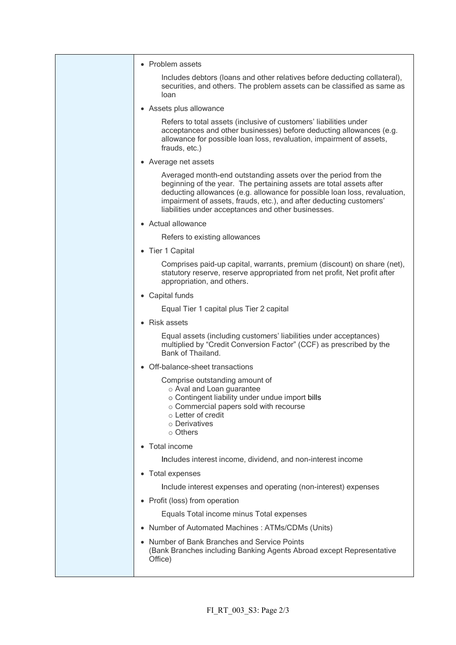| • Problem assets                                                                                                                                                                                                                                                                                                                                 |
|--------------------------------------------------------------------------------------------------------------------------------------------------------------------------------------------------------------------------------------------------------------------------------------------------------------------------------------------------|
| Includes debtors (loans and other relatives before deducting collateral),<br>securities, and others. The problem assets can be classified as same as<br>loan                                                                                                                                                                                     |
| • Assets plus allowance                                                                                                                                                                                                                                                                                                                          |
| Refers to total assets (inclusive of customers' liabilities under<br>acceptances and other businesses) before deducting allowances (e.g.<br>allowance for possible loan loss, revaluation, impairment of assets,<br>frauds, etc.)                                                                                                                |
| • Average net assets                                                                                                                                                                                                                                                                                                                             |
| Averaged month-end outstanding assets over the period from the<br>beginning of the year. The pertaining assets are total assets after<br>deducting allowances (e.g. allowance for possible loan loss, revaluation,<br>impairment of assets, frauds, etc.), and after deducting customers'<br>liabilities under acceptances and other businesses. |
| • Actual allowance                                                                                                                                                                                                                                                                                                                               |
| Refers to existing allowances                                                                                                                                                                                                                                                                                                                    |
| • Tier 1 Capital                                                                                                                                                                                                                                                                                                                                 |
| Comprises paid-up capital, warrants, premium (discount) on share (net),<br>statutory reserve, reserve appropriated from net profit, Net profit after<br>appropriation, and others.                                                                                                                                                               |
| • Capital funds                                                                                                                                                                                                                                                                                                                                  |
| Equal Tier 1 capital plus Tier 2 capital                                                                                                                                                                                                                                                                                                         |
| • Risk assets                                                                                                                                                                                                                                                                                                                                    |
| Equal assets (including customers' liabilities under acceptances)<br>multiplied by "Credit Conversion Factor" (CCF) as prescribed by the<br>Bank of Thailand.                                                                                                                                                                                    |
| • Off-balance-sheet transactions                                                                                                                                                                                                                                                                                                                 |
| Comprise outstanding amount of<br>o Aval and Loan guarantee<br>o Contingent liability under undue import bills<br>$\circ$ Commercial papers sold with recourse<br>o Letter of credit<br>o Derivatives<br>$\circ$ Others                                                                                                                          |
| • Total income                                                                                                                                                                                                                                                                                                                                   |
| Includes interest income, dividend, and non-interest income                                                                                                                                                                                                                                                                                      |
| • Total expenses                                                                                                                                                                                                                                                                                                                                 |
| Include interest expenses and operating (non-interest) expenses                                                                                                                                                                                                                                                                                  |
| Profit (loss) from operation                                                                                                                                                                                                                                                                                                                     |
| Equals Total income minus Total expenses                                                                                                                                                                                                                                                                                                         |
| Number of Automated Machines: ATMs/CDMs (Units)                                                                                                                                                                                                                                                                                                  |
| • Number of Bank Branches and Service Points<br>(Bank Branches including Banking Agents Abroad except Representative<br>Office)                                                                                                                                                                                                                  |
|                                                                                                                                                                                                                                                                                                                                                  |